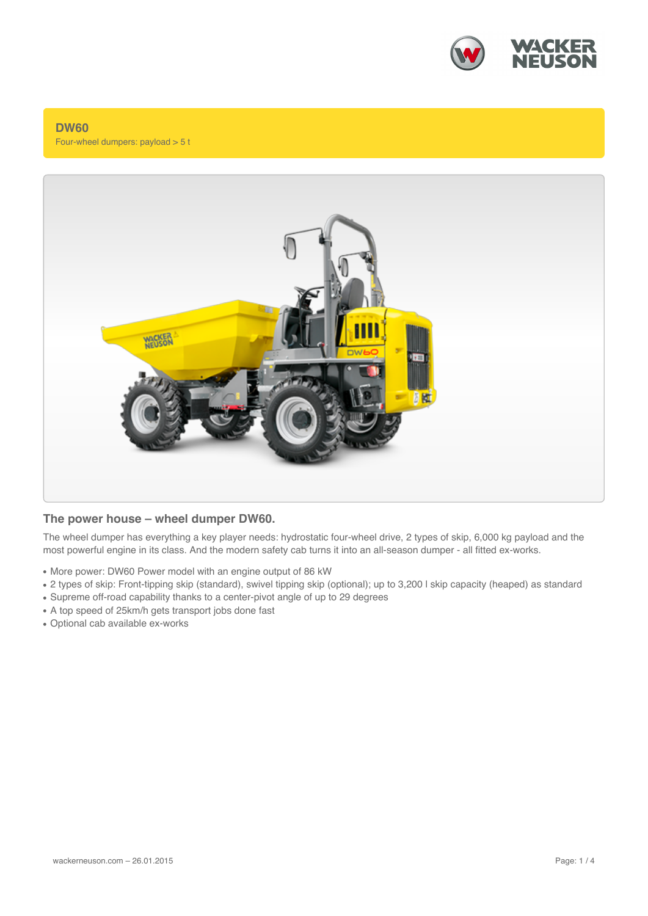

### **DW60** Four-wheel dumpers: payload > 5 t



### **The power house – wheel dumper DW60.**

The wheel dumper has everything a key player needs: hydrostatic four-wheel drive, 2 types of skip, 6,000 kg payload and the most powerful engine in its class. And the modern safety cab turns it into an all-season dumper - all fitted ex-works.

- More power: DW60 Power model with an engine output of 86 kW
- 2 types of skip: Front-tipping skip (standard), swivel tipping skip (optional); up to 3,200 l skip capacity (heaped) as standard
- Supreme off-road capability thanks to a center-pivot angle of up to 29 degrees
- A top speed of 25km/h gets transport jobs done fast
- Optional cab available ex-works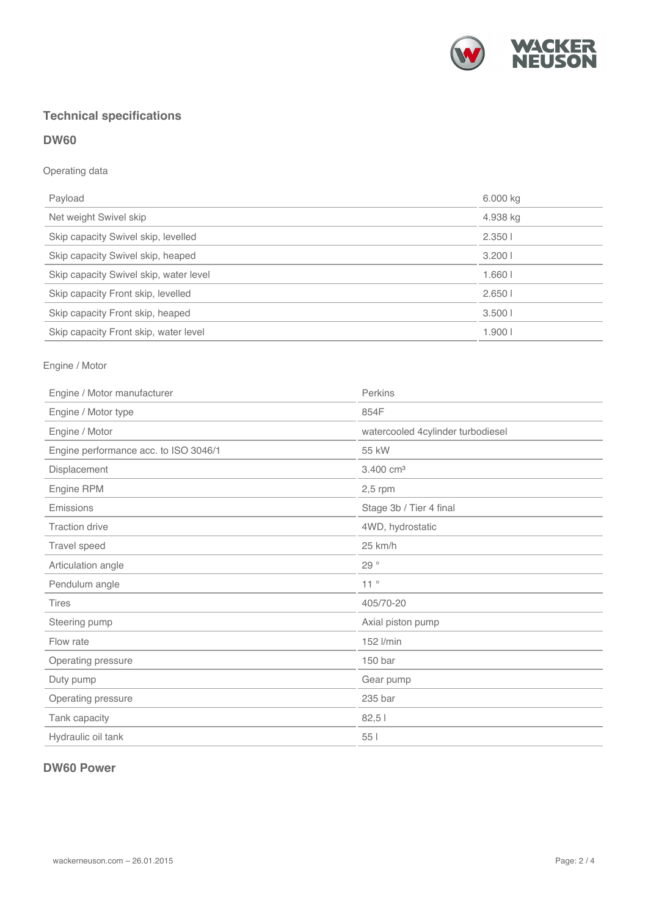

# **Technical specifications**

# **DW60**

# Operating data

| Payload                                | 6.000 kg |
|----------------------------------------|----------|
| Net weight Swivel skip                 | 4.938 kg |
| Skip capacity Swivel skip, levelled    | 2.3501   |
| Skip capacity Swivel skip, heaped      | 3.2001   |
| Skip capacity Swivel skip, water level | 1.6601   |
| Skip capacity Front skip, levelled     | 2.6501   |
| Skip capacity Front skip, heaped       | 3.5001   |
| Skip capacity Front skip, water level  | 1.9001   |

# Engine / Motor

| Engine / Motor manufacturer           | Perkins                           |
|---------------------------------------|-----------------------------------|
| Engine / Motor type                   | 854F                              |
| Engine / Motor                        | watercooled 4cylinder turbodiesel |
| Engine performance acc. to ISO 3046/1 | 55 kW                             |
| Displacement                          | 3.400 cm <sup>3</sup>             |
| Engine RPM                            | $2,5$ rpm                         |
| Emissions                             | Stage 3b / Tier 4 final           |
| <b>Traction drive</b>                 | 4WD, hydrostatic                  |
| Travel speed                          | 25 km/h                           |
| Articulation angle                    | 29 $^{\circ}$                     |
| Pendulum angle                        | 11°                               |
| <b>Tires</b>                          | 405/70-20                         |
| Steering pump                         | Axial piston pump                 |
| Flow rate                             | 152 l/min                         |
| Operating pressure                    | 150 bar                           |
| Duty pump                             | Gear pump                         |
| Operating pressure                    | 235 bar                           |
| Tank capacity                         | 82,51                             |
| Hydraulic oil tank                    | 55                                |

# **DW60 Power**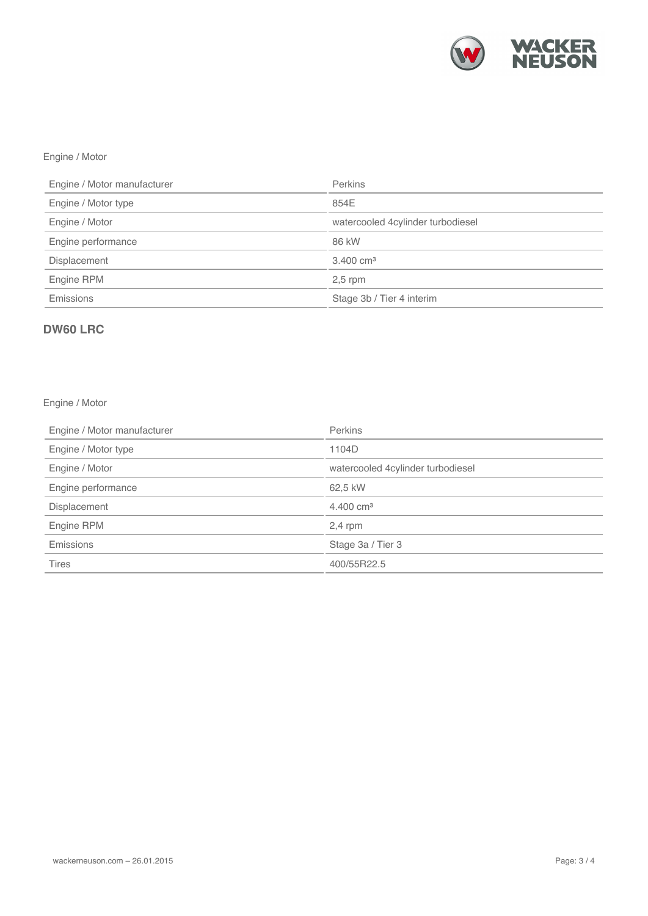

# Engine / Motor

| Engine / Motor manufacturer | <b>Perkins</b>                    |
|-----------------------------|-----------------------------------|
| Engine / Motor type         | 854E                              |
| Engine / Motor              | watercooled 4cylinder turbodiesel |
| Engine performance          | 86 kW                             |
| <b>Displacement</b>         | $3.400 \text{ cm}^3$              |
| Engine RPM                  | $2,5$ rpm                         |
| Emissions                   | Stage 3b / Tier 4 interim         |

# **DW60 LRC**

# Engine / Motor

| Engine / Motor manufacturer | Perkins                           |
|-----------------------------|-----------------------------------|
| Engine / Motor type         | 1104D                             |
| Engine / Motor              | watercooled 4cylinder turbodiesel |
| Engine performance          | 62,5 kW                           |
| Displacement                | $4.400 \text{ cm}^3$              |
| Engine RPM                  | $2,4$ rpm                         |
| <b>Emissions</b>            | Stage 3a / Tier 3                 |
| <b>Tires</b>                | 400/55R22.5                       |